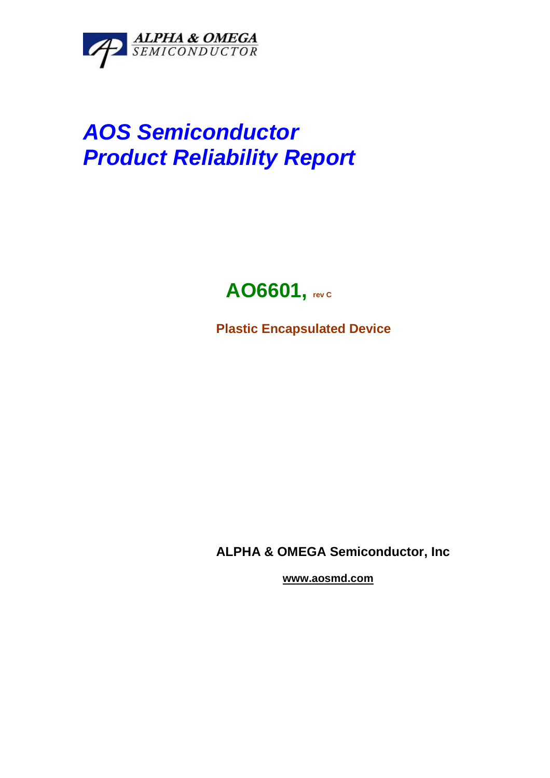

# **AOS Semiconductor Product Reliability Report**

## **AO6601, rev C**

**Plastic Encapsulated Device** 

**ALPHA & OMEGA Semiconductor, Inc** 

 **www.aosmd.com**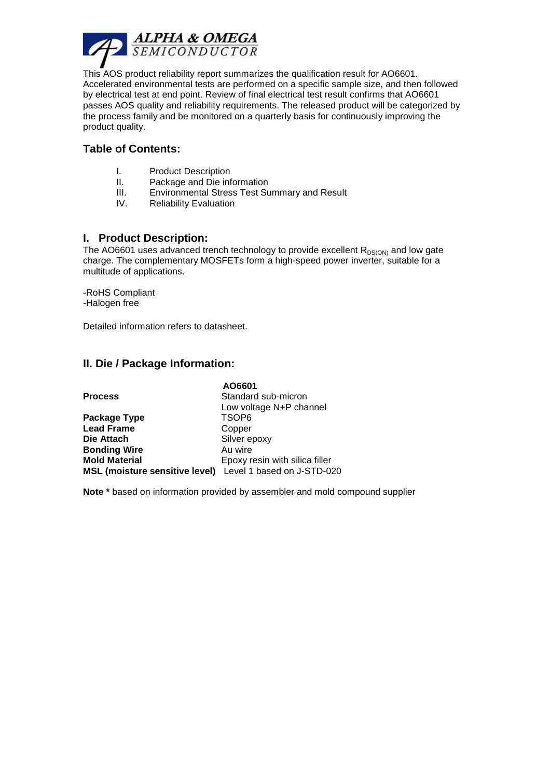

This AOS product reliability report summarizes the qualification result for AO6601. Accelerated environmental tests are performed on a specific sample size, and then followed by electrical test at end point. Review of final electrical test result confirms that AO6601 passes AOS quality and reliability requirements. The released product will be categorized by the process family and be monitored on a quarterly basis for continuously improving the product quality.

#### **Table of Contents:**

- I. Product Description
- II. Package and Die information
- III. Environmental Stress Test Summary and Result
- IV. Reliability Evaluation

#### **I. Product Description:**

The AO6601 uses advanced trench technology to provide excellent  $R_{DS(ON)}$  and low gate charge. The complementary MOSFETs form a high-speed power inverter, suitable for a multitude of applications.

-RoHS Compliant -Halogen free

Detailed information refers to datasheet.

#### **II. Die / Package Information:**

|                                                           | AO6601                         |
|-----------------------------------------------------------|--------------------------------|
| <b>Process</b>                                            | Standard sub-micron            |
|                                                           | Low voltage N+P channel        |
| Package Type                                              | TSOP <sub>6</sub>              |
| <b>Lead Frame</b>                                         | Copper                         |
| Die Attach                                                | Silver epoxy                   |
| <b>Bonding Wire</b>                                       | Au wire                        |
| <b>Mold Material</b>                                      | Epoxy resin with silica filler |
| MSL (moisture sensitive level) Level 1 based on J-STD-020 |                                |

**Note \*** based on information provided by assembler and mold compound supplier